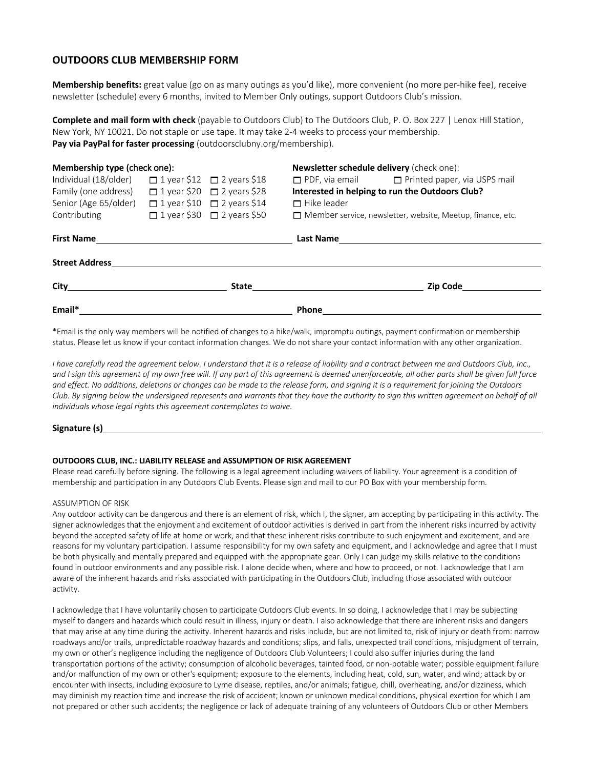# **OUTDOORS CLUB MEMBERSHIP FORM**

**Membership benefits:** great value (go on as many outings as you'd like), more convenient (no more per-hike fee), receive newsletter (schedule) every 6 months, invited to Member Only outings, support Outdoors Club's mission.

**Complete and mail form with check** (payable to Outdoors Club) to The Outdoors Club, P. O. Box 227 | Lenox Hill Station, New York, NY 10021. Do not staple or use tape. It may take 2-4 weeks to process your membership. **Pay via PayPal for faster processing** (outdoorsclubny.org/membership).

| Membership type (check one): |  |                                        | Newsletter schedule delivery (check one):                         |                                                           |
|------------------------------|--|----------------------------------------|-------------------------------------------------------------------|-----------------------------------------------------------|
| Individual (18/older)        |  | $\Box$ 1 year \$12 $\Box$ 2 years \$18 |                                                                   | $\Box$ PDF, via email $\Box$ Printed paper, via USPS mail |
| Family (one address)         |  | $\Box$ 1 year \$20 $\Box$ 2 years \$28 | Interested in helping to run the Outdoors Club?                   |                                                           |
| Senior (Age 65/older)        |  | $\Box$ 1 year \$10 $\Box$ 2 years \$14 | $\Box$ Hike leader                                                |                                                           |
| Contributing                 |  | $\Box$ 1 year \$30 $\Box$ 2 years \$50 | $\Box$ Member service, newsletter, website, Meetup, finance, etc. |                                                           |
| <b>First Name</b>            |  |                                        |                                                                   |                                                           |
| <b>Street Address</b>        |  |                                        |                                                                   |                                                           |
|                              |  | <b>State State</b>                     |                                                                   | Zip Code                                                  |
| Email*                       |  |                                        | <b>Phone</b>                                                      |                                                           |

\*Email is the only way members will be notified of changes to a hike/walk, impromptu outings, payment confirmation or membership status. Please let us know if your contact information changes. We do not share your contact information with any other organization.

*I have carefully read the agreement below. I understand that it is a release of liability and a contract between me and Outdoors Club, Inc.,*  and I sign this agreement of my own free will. If any part of this agreement is deemed unenforceable, all other parts shall be given full force *and effect. No additions, deletions or changes can be made to the release form, and signing it is a requirement for joining the Outdoors Club. By signing below the undersigned represents and warrants that they have the authority to sign this written agreement on behalf of all individuals whose legal rights this agreement contemplates to waive.*

### **Signature (s)**

#### **OUTDOORS CLUB, INC.: LIABILITY RELEASE and ASSUMPTION OF RISK AGREEMENT**

Please read carefully before signing. The following is a legal agreement including waivers of liability. Your agreement is a condition of membership and participation in any Outdoors Club Events. Please sign and mail to our PO Box with your membership form.

## ASSUMPTION OF RISK

Any outdoor activity can be dangerous and there is an element of risk, which I, the signer, am accepting by participating in this activity. The signer acknowledges that the enjoyment and excitement of outdoor activities is derived in part from the inherent risks incurred by activity beyond the accepted safety of life at home or work, and that these inherent risks contribute to such enjoyment and excitement, and are reasons for my voluntary participation. I assume responsibility for my own safety and equipment, and I acknowledge and agree that I must be both physically and mentally prepared and equipped with the appropriate gear. Only I can judge my skills relative to the conditions found in outdoor environments and any possible risk. I alone decide when, where and how to proceed, or not. I acknowledge that I am aware of the inherent hazards and risks associated with participating in the Outdoors Club, including those associated with outdoor activity.

I acknowledge that I have voluntarily chosen to participate Outdoors Club events. In so doing, I acknowledge that I may be subjecting myself to dangers and hazards which could result in illness, injury or death. I also acknowledge that there are inherent risks and dangers that may arise at any time during the activity. Inherent hazards and risks include, but are not limited to, risk of injury or death from: narrow roadways and/or trails, unpredictable roadway hazards and conditions; slips, and falls, unexpected trail conditions, misjudgment of terrain, my own or other's negligence including the negligence of Outdoors Club Volunteers; I could also suffer injuries during the land transportation portions of the activity; consumption of alcoholic beverages, tainted food, or non-potable water; possible equipment failure and/or malfunction of my own or other's equipment; exposure to the elements, including heat, cold, sun, water, and wind; attack by or encounter with insects, including exposure to Lyme disease, reptiles, and/or animals; fatigue, chill, overheating, and/or dizziness, which may diminish my reaction time and increase the risk of accident; known or unknown medical conditions, physical exertion for which I am not prepared or other such accidents; the negligence or lack of adequate training of any volunteers of Outdoors Club or other Members